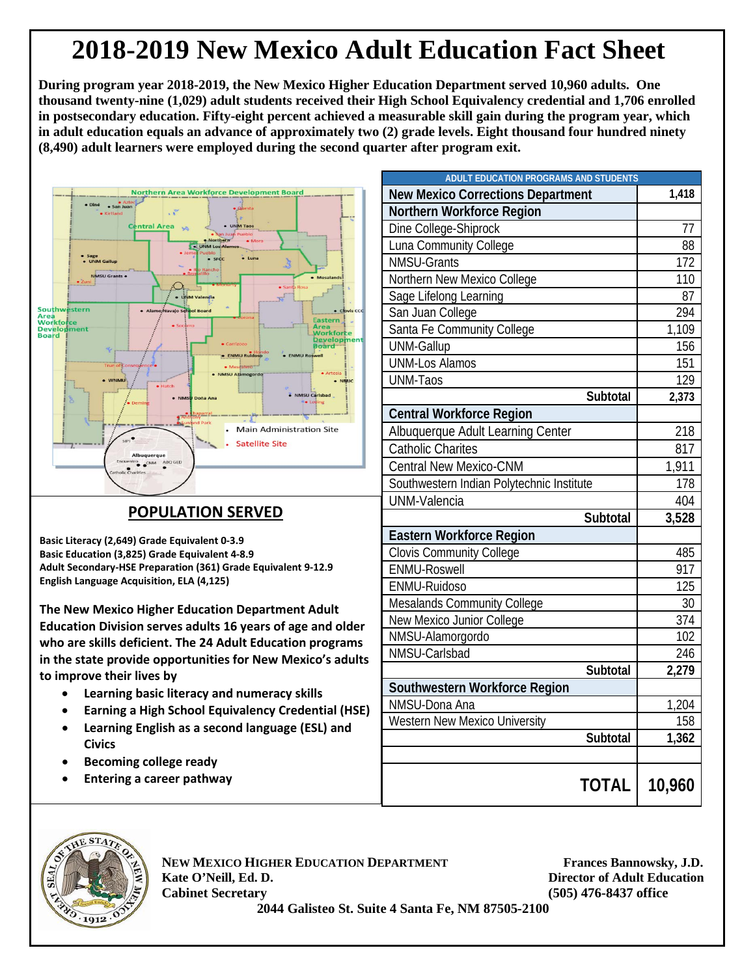## **2018-2019 New Mexico Adult Education Fact Sheet**

**During program year 2018-2019, the New Mexico Higher Education Department served 10,960 adults. One thousand twenty-nine (1,029) adult students received their High School Equivalency credential and 1,706 enrolled in postsecondary education. Fifty-eight percent achieved a measurable skill gain during the program year, which in adult education equals an advance of approximately two (2) grade levels. Eight thousand four hundred ninety (8,490) adult learners were employed during the second quarter after program exit.**



## **POPULATION SERVED**

**Basic Literacy (2,649) Grade Equivalent 0-3.9 Basic Education (3,825) Grade Equivalent 4-8.9 Adult Secondary-HSE Preparation (361) Grade Equivalent 9-12.9 English Language Acquisition, ELA (4,125)**

**The New Mexico Higher Education Department Adult Education Division serves adults 16 years of age and older who are skills deficient. The 24 Adult Education programs in the state provide opportunities for New Mexico's adults to improve their lives by**

- **Learning basic literacy and numeracy skills**
- **Earning a High School Equivalency Credential (HSE)**
- **Learning English as a second language (ESL) and Civics**
- **Becoming college ready**
- **Entering a career pathway**

| <b>ADULT EDUCATION PROGRAMS AND STUDENTS</b> |        |
|----------------------------------------------|--------|
| <b>New Mexico Corrections Department</b>     | 1,418  |
| Northern Workforce Region                    |        |
| Dine College-Shiprock                        | 77     |
| Luna Community College                       | 88     |
| <b>NMSU-Grants</b>                           | 172    |
| Northern New Mexico College                  | 110    |
| Sage Lifelong Learning                       | 87     |
| San Juan College                             | 294    |
| Santa Fe Community College                   | 1,109  |
| <b>UNM-Gallup</b>                            | 156    |
| <b>UNM-Los Alamos</b>                        | 151    |
| <b>UNM-Taos</b>                              | 129    |
| Subtotal                                     | 2,373  |
| <b>Central Workforce Region</b>              |        |
| Albuquerque Adult Learning Center            | 218    |
| <b>Catholic Charites</b>                     | 817    |
| <b>Central New Mexico-CNM</b>                | 1,911  |
| Southwestern Indian Polytechnic Institute    | 178    |
| <b>UNM-Valencia</b>                          | 404    |
| Subtotal                                     | 3,528  |
| Eastern Workforce Region                     |        |
| <b>Clovis Community College</b>              | 485    |
| ENMU-Roswell                                 | 917    |
| ENMU-Ruidoso                                 | 125    |
| Mesalands Community College                  | 30     |
| New Mexico Junior College                    | 374    |
| NMSU-Alamorgordo                             | 102    |
| NMSU-Carlsbad                                | 246    |
| Subtotal                                     | 2,279  |
| Southwestern Workforce Region                |        |
| NMSU-Dona Ana                                | 1,204  |
| <b>Western New Mexico University</b>         | 158    |
| Subtotal                                     | 1,362  |
|                                              |        |
| <b>TOTAL I</b>                               | 10,960 |



**NEW MEXICO HIGHER EDUCATION DEPARTMENT Frances Bannowsky, J.D. Kate O'Neill, Ed. D. Director of Adult Education Cabinet Secretary (505) 476-8437 office**

 **2044 Galisteo St. Suite 4 Santa Fe, NM 87505-2100**